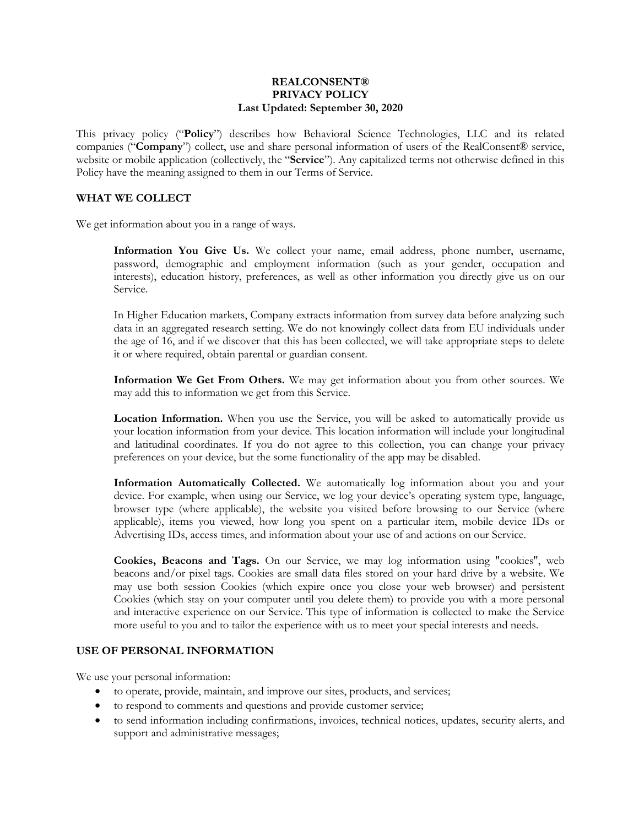#### **REALCONSENT® PRIVACY POLICY Last Updated: September 30, 2020**

This privacy policy ("**Policy**") describes how Behavioral Science Technologies, LLC and its related companies ("**Company**") collect, use and share personal information of users of the RealConsent® service, website or mobile application (collectively, the "**Service**"). Any capitalized terms not otherwise defined in this Policy have the meaning assigned to them in our Terms of Service.

## **WHAT WE COLLECT**

We get information about you in a range of ways.

**Information You Give Us.** We collect your name, email address, phone number, username, password, demographic and employment information (such as your gender, occupation and interests), education history, preferences, as well as other information you directly give us on our Service.

In Higher Education markets, Company extracts information from survey data before analyzing such data in an aggregated research setting. We do not knowingly collect data from EU individuals under the age of 16, and if we discover that this has been collected, we will take appropriate steps to delete it or where required, obtain parental or guardian consent.

**Information We Get From Others.** We may get information about you from other sources. We may add this to information we get from this Service.

**Location Information.** When you use the Service, you will be asked to automatically provide us your location information from your device. This location information will include your longitudinal and latitudinal coordinates. If you do not agree to this collection, you can change your privacy preferences on your device, but the some functionality of the app may be disabled.

**Information Automatically Collected.** We automatically log information about you and your device. For example, when using our Service, we log your device's operating system type, language, browser type (where applicable), the website you visited before browsing to our Service (where applicable), items you viewed, how long you spent on a particular item, mobile device IDs or Advertising IDs, access times, and information about your use of and actions on our Service.

**Cookies, Beacons and Tags.** On our Service, we may log information using "cookies", web beacons and/or pixel tags. Cookies are small data files stored on your hard drive by a website. We may use both session Cookies (which expire once you close your web browser) and persistent Cookies (which stay on your computer until you delete them) to provide you with a more personal and interactive experience on our Service. This type of information is collected to make the Service more useful to you and to tailor the experience with us to meet your special interests and needs.

# **USE OF PERSONAL INFORMATION**

We use your personal information:

- to operate, provide, maintain, and improve our sites, products, and services;
- to respond to comments and questions and provide customer service;
- to send information including confirmations, invoices, technical notices, updates, security alerts, and support and administrative messages;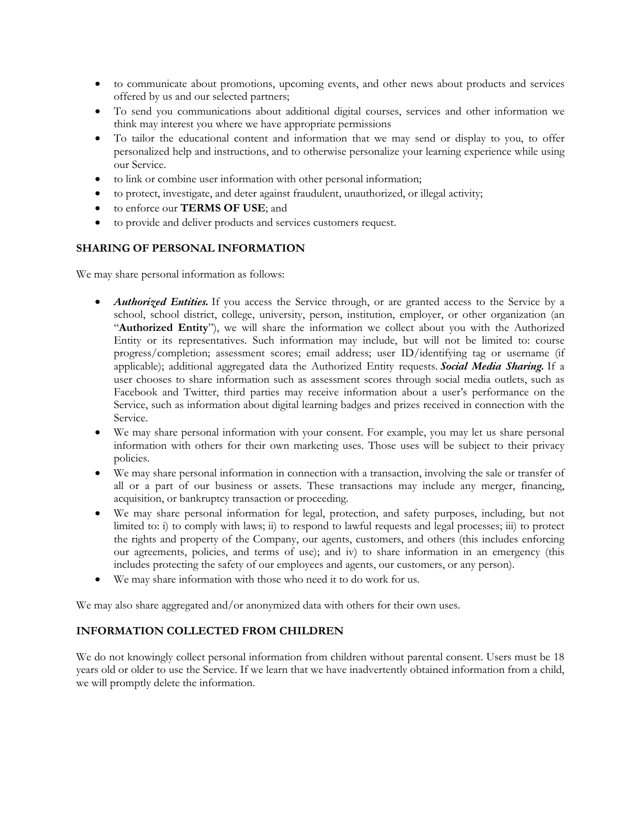- to communicate about promotions, upcoming events, and other news about products and services offered by us and our selected partners;
- To send you communications about additional digital courses, services and other information we think may interest you where we have appropriate permissions
- To tailor the educational content and information that we may send or display to you, to offer personalized help and instructions, and to otherwise personalize your learning experience while using our Service.
- to link or combine user information with other personal information;
- to protect, investigate, and deter against fraudulent, unauthorized, or illegal activity;
- to enforce our **TERMS OF USE**; and
- to provide and deliver products and services customers request.

### **SHARING OF PERSONAL INFORMATION**

We may share personal information as follows:

- *Authorized Entities.* If you access the Service through, or are granted access to the Service by a school, school district, college, university, person, institution, employer, or other organization (an "**Authorized Entity**"), we will share the information we collect about you with the Authorized Entity or its representatives. Such information may include, but will not be limited to: course progress/completion; assessment scores; email address; user ID/identifying tag or username (if applicable); additional aggregated data the Authorized Entity requests. *Social Media Sharing.* If a user chooses to share information such as assessment scores through social media outlets, such as Facebook and Twitter, third parties may receive information about a user's performance on the Service, such as information about digital learning badges and prizes received in connection with the Service.
- We may share personal information with your consent. For example, you may let us share personal information with others for their own marketing uses. Those uses will be subject to their privacy policies.
- We may share personal information in connection with a transaction, involving the sale or transfer of all or a part of our business or assets. These transactions may include any merger, financing, acquisition, or bankruptcy transaction or proceeding.
- We may share personal information for legal, protection, and safety purposes, including, but not limited to: i) to comply with laws; ii) to respond to lawful requests and legal processes; iii) to protect the rights and property of the Company, our agents, customers, and others (this includes enforcing our agreements, policies, and terms of use); and iv) to share information in an emergency (this includes protecting the safety of our employees and agents, our customers, or any person).
- We may share information with those who need it to do work for us.

We may also share aggregated and/or anonymized data with others for their own uses.

## **INFORMATION COLLECTED FROM CHILDREN**

We do not knowingly collect personal information from children without parental consent. Users must be 18 years old or older to use the Service. If we learn that we have inadvertently obtained information from a child, we will promptly delete the information.